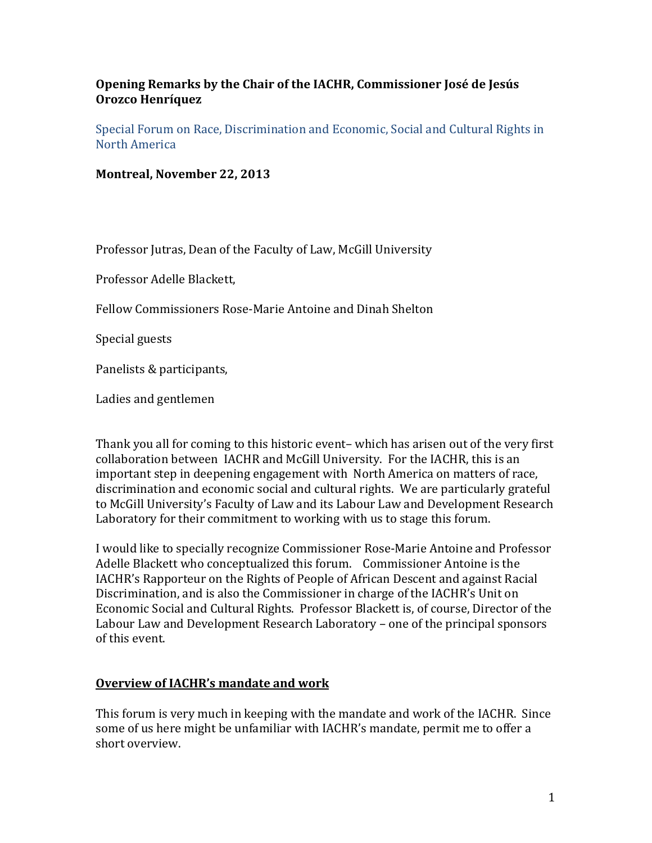## **Opening Remarks by the Chair of the IACHR, Commissioner José de Jesús Orozco Henríquez**

Special Forum on Race, Discrimination and Economic, Social and Cultural Rights in North America

**Montreal, November 22, 2013**

Professor Jutras, Dean of the Faculty of Law, McGill University

Professor Adelle Blackett,

Fellow Commissioners Rose-Marie Antoine and Dinah Shelton

Special guests

Panelists & participants,

Ladies and gentlemen

Thank you all for coming to this historic event– which has arisen out of the very first collaboration between IACHR and McGill University. For the IACHR, this is an important step in deepening engagement with North America on matters of race, discrimination and economic social and cultural rights. We are particularly grateful to McGill University's Faculty of Law and its Labour Law and Development Research Laboratory for their commitment to working with us to stage this forum.

I would like to specially recognize Commissioner Rose-Marie Antoine and Professor Adelle Blackett who conceptualized this forum. Commissioner Antoine is the IACHR's Rapporteur on the Rights of People of African Descent and against Racial Discrimination, and is also the Commissioner in charge of the IACHR's Unit on Economic Social and Cultural Rights. Professor Blackett is, of course, Director of the Labour Law and Development Research Laboratory – one of the principal sponsors of this event.

## **Overview of IACHR's mandate and work**

This forum is very much in keeping with the mandate and work of the IACHR. Since some of us here might be unfamiliar with IACHR's mandate, permit me to offer a short overview.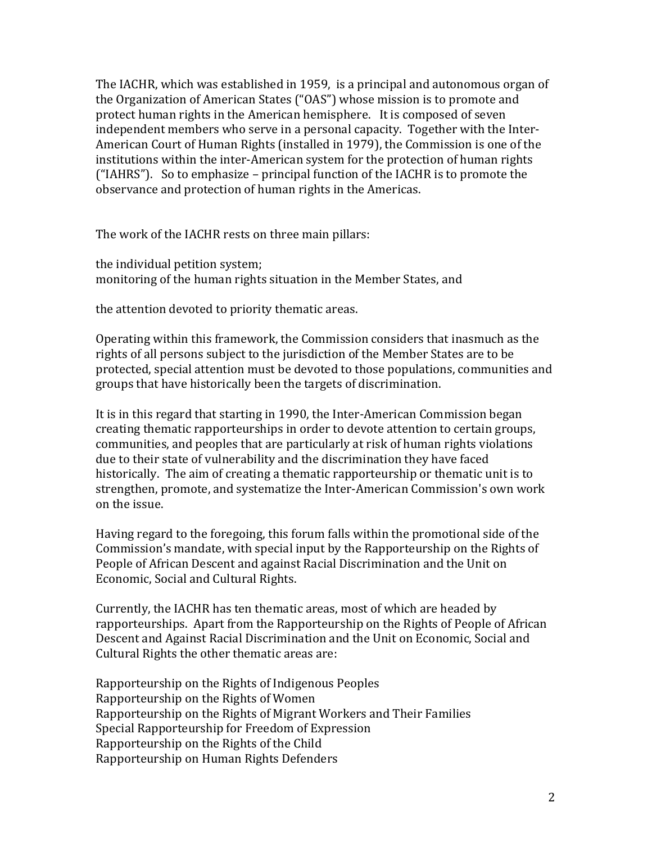The IACHR, which was established in 1959, is a principal and autonomous organ of the Organization of American States ("OAS") whose mission is to promote and protect human rights in the American hemisphere. It is composed of seven independent members who serve in a personal capacity. Together with the Inter-American Court of Human Rights (installed in 1979), the Commission is one of the institutions within the inter-American system for the protection of human rights ("IAHRS"). So to emphasize – principal function of the IACHR is to promote the observance and protection of human rights in the Americas.

The work of the IACHR rests on three main pillars:

the individual petition system; monitoring of the human rights situation in the Member States, and

the attention devoted to priority thematic areas.

Operating within this framework, the Commission considers that inasmuch as the rights of all persons subject to the jurisdiction of the Member States are to be protected, special attention must be devoted to those populations, communities and groups that have historically been the targets of discrimination.

It is in this regard that starting in 1990, the Inter-American Commission began creating thematic rapporteurships in order to devote attention to certain groups, communities, and peoples that are particularly at risk of human rights violations due to their state of vulnerability and the discrimination they have faced historically. The aim of creating a thematic rapporteurship or thematic unit is to strengthen, promote, and systematize the Inter-American Commission's own work on the issue.

Having regard to the foregoing, this forum falls within the promotional side of the Commission's mandate, with special input by the Rapporteurship on the Rights of People of African Descent and against Racial Discrimination and the Unit on Economic, Social and Cultural Rights.

Currently, the IACHR has ten thematic areas, most of which are headed by rapporteurships. Apart from the Rapporteurship on the Rights of People of African Descent and Against Racial Discrimination and the Unit on Economic, Social and Cultural Rights the other thematic areas are:

Rapporteurship on the Rights of Indigenous Peoples Rapporteurship on the Rights of Women Rapporteurship on the Rights of Migrant Workers and Their Families Special Rapporteurship for Freedom of Expression Rapporteurship on the Rights of the Child Rapporteurship on Human Rights Defenders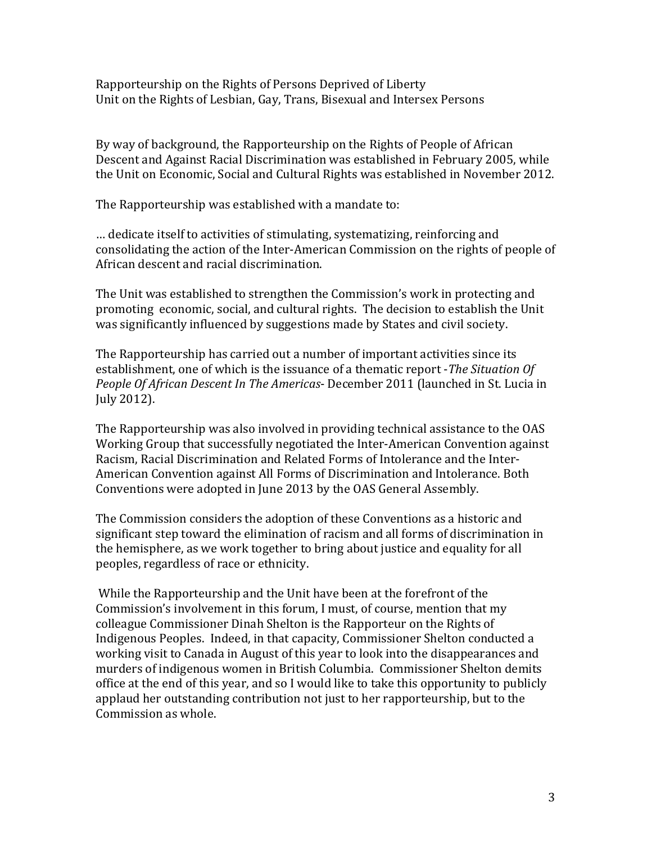Rapporteurship on the Rights of Persons Deprived of Liberty Unit on the Rights of Lesbian, Gay, Trans, Bisexual and Intersex Persons

By way of background, the Rapporteurship on the Rights of People of African Descent and Against Racial Discrimination was established in February 2005, while the Unit on Economic, Social and Cultural Rights was established in November 2012.

The Rapporteurship was established with a mandate to:

… dedicate itself to activities of stimulating, systematizing, reinforcing and consolidating the action of the Inter-American Commission on the rights of people of African descent and racial discrimination.

The Unit was established to strengthen the Commission's work in protecting and promoting economic, social, and cultural rights. The decision to establish the Unit was significantly influenced by suggestions made by States and civil society.

The Rapporteurship has carried out a number of important activities since its establishment, one of which is the issuance of a thematic report -*The Situation Of People Of African Descent In The Americas*- December 2011 (launched in St. Lucia in July 2012).

The Rapporteurship was also involved in providing technical assistance to the OAS Working Group that successfully negotiated the Inter-American Convention against Racism, Racial Discrimination and Related Forms of Intolerance and the Inter-American Convention against All Forms of Discrimination and Intolerance. Both Conventions were adopted in June 2013 by the OAS General Assembly.

The Commission considers the adoption of these Conventions as a historic and significant step toward the elimination of racism and all forms of discrimination in the hemisphere, as we work together to bring about justice and equality for all peoples, regardless of race or ethnicity.

While the Rapporteurship and the Unit have been at the forefront of the Commission's involvement in this forum, I must, of course, mention that my colleague Commissioner Dinah Shelton is the Rapporteur on the Rights of Indigenous Peoples. Indeed, in that capacity, Commissioner Shelton conducted a working visit to Canada in August of this year to look into the disappearances and murders of indigenous women in British Columbia. Commissioner Shelton demits office at the end of this year, and so I would like to take this opportunity to publicly applaud her outstanding contribution not just to her rapporteurship, but to the Commission as whole.